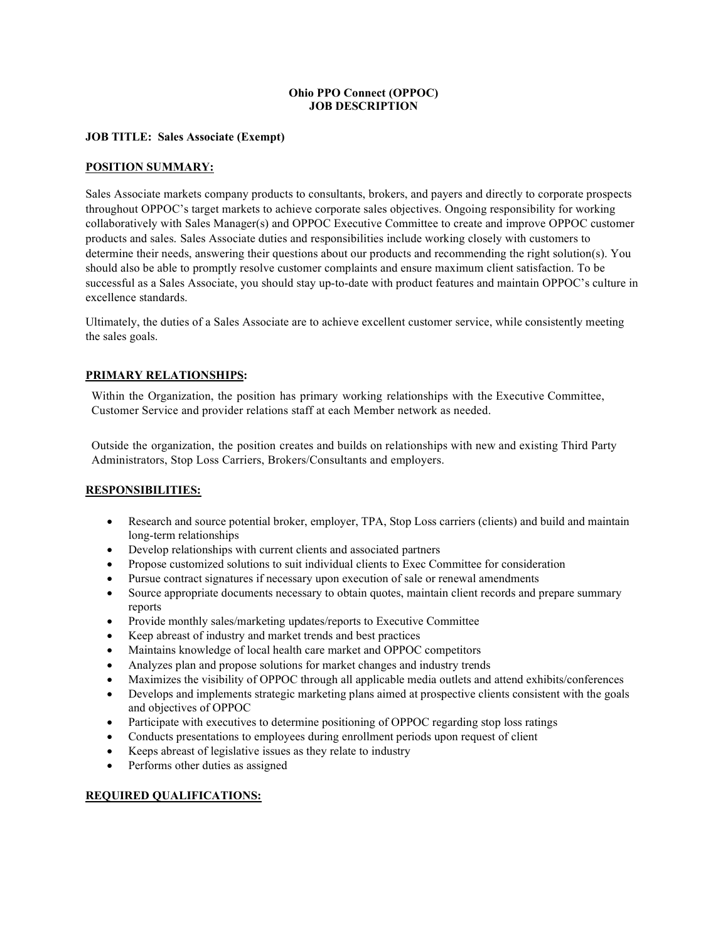## Ohio PPO Connect (OPPOC) JOB DESCRIPTION

## JOB TITLE: Sales Associate (Exempt)

### POSITION SUMMARY:

Sales Associate markets company products to consultants, brokers, and payers and directly to corporate prospects throughout OPPOC's target markets to achieve corporate sales objectives. Ongoing responsibility for working collaboratively with Sales Manager(s) and OPPOC Executive Committee to create and improve OPPOC customer products and sales. Sales Associate duties and responsibilities include working closely with customers to determine their needs, answering their questions about our products and recommending the right solution(s). You should also be able to promptly resolve customer complaints and ensure maximum client satisfaction. To be successful as a Sales Associate, you should stay up-to-date with product features and maintain OPPOC's culture in excellence standards.

Ultimately, the duties of a Sales Associate are to achieve excellent customer service, while consistently meeting the sales goals.

### PRIMARY RELATIONSHIPS:

Within the Organization, the position has primary working relationships with the Executive Committee, Customer Service and provider relations staff at each Member network as needed.

Outside the organization, the position creates and builds on relationships with new and existing Third Party Administrators, Stop Loss Carriers, Brokers/Consultants and employers.

#### RESPONSIBILITIES:

- Research and source potential broker, employer, TPA, Stop Loss carriers (clients) and build and maintain long-term relationships
- Develop relationships with current clients and associated partners
- Propose customized solutions to suit individual clients to Exec Committee for consideration
- Pursue contract signatures if necessary upon execution of sale or renewal amendments
- Source appropriate documents necessary to obtain quotes, maintain client records and prepare summary reports
- Provide monthly sales/marketing updates/reports to Executive Committee
- Keep abreast of industry and market trends and best practices
- Maintains knowledge of local health care market and OPPOC competitors
- Analyzes plan and propose solutions for market changes and industry trends
- Maximizes the visibility of OPPOC through all applicable media outlets and attend exhibits/conferences
- Develops and implements strategic marketing plans aimed at prospective clients consistent with the goals and objectives of OPPOC
- Participate with executives to determine positioning of OPPOC regarding stop loss ratings
- Conducts presentations to employees during enrollment periods upon request of client
- Keeps abreast of legislative issues as they relate to industry
- Performs other duties as assigned

#### REQUIRED QUALIFICATIONS: